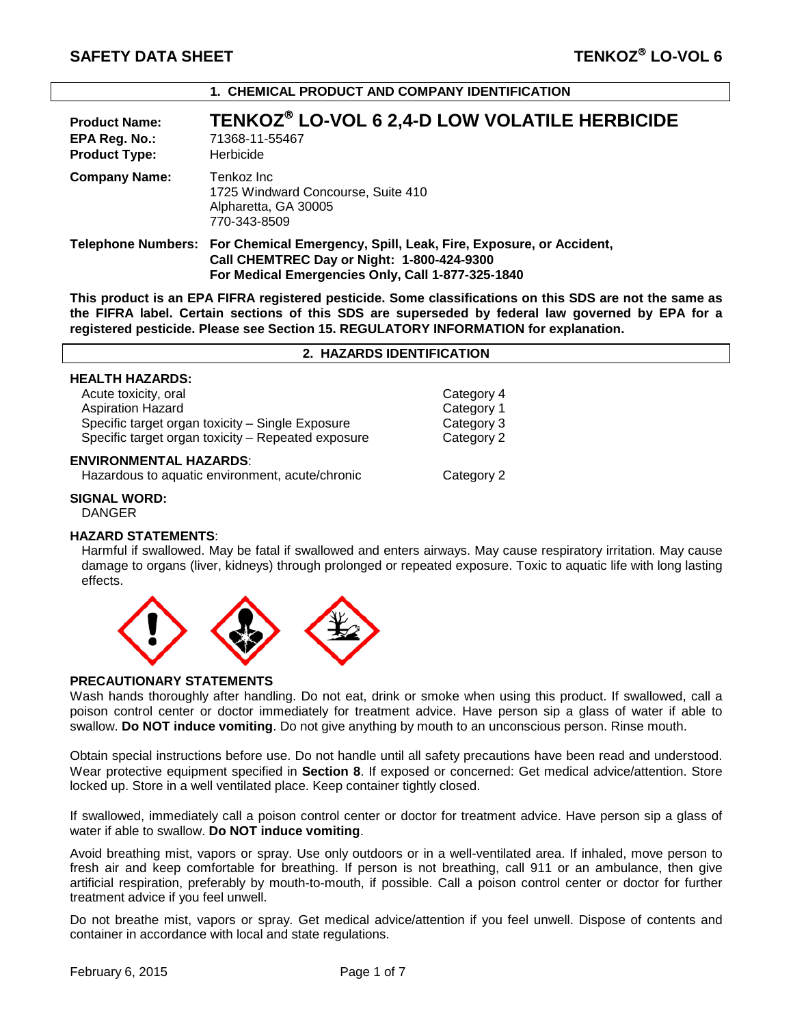| <b>Product Name:</b><br>EPA Reg. No.:<br><b>Product Type:</b> | TENKOZ® LO-VOL 6 2,4-D LOW VOLATILE HERBICIDE<br>71368-11-55467<br>Herbicide                                                                                                            |
|---------------------------------------------------------------|-----------------------------------------------------------------------------------------------------------------------------------------------------------------------------------------|
| <b>Company Name:</b>                                          | Tenkoz Inc<br>1725 Windward Concourse, Suite 410<br>Alpharetta, GA 30005<br>770-343-8509                                                                                                |
|                                                               | Telephone Numbers: For Chemical Emergency, Spill, Leak, Fire, Exposure, or Accident,<br>Call CHEMTREC Day or Night: 1-800-424-9300<br>For Medical Emergencies Only, Call 1-877-325-1840 |

**1. CHEMICAL PRODUCT AND COMPANY IDENTIFICATION**

**This product is an EPA FIFRA registered pesticide. Some classifications on this SDS are not the same as the FIFRA label. Certain sections of this SDS are superseded by federal law governed by EPA for a registered pesticide. Please see Section 15. REGULATORY INFORMATION for explanation.**

**2. HAZARDS IDENTIFICATION**

| <b>HEALTH HAZARDS:</b>                             |            |  |
|----------------------------------------------------|------------|--|
| Acute toxicity, oral                               | Category 4 |  |
| <b>Aspiration Hazard</b>                           | Category 1 |  |
| Specific target organ toxicity - Single Exposure   | Category 3 |  |
| Specific target organ toxicity - Repeated exposure | Category 2 |  |
| <b>ENVIRONMENTAL HAZARDS:</b>                      |            |  |

Hazardous to aquatic environment, acute/chronic Category 2

**SIGNAL WORD:**

DANGER

# **HAZARD STATEMENTS**:

Harmful if swallowed. May be fatal if swallowed and enters airways. May cause respiratory irritation. May cause damage to organs (liver, kidneys) through prolonged or repeated exposure. Toxic to aquatic life with long lasting effects.



#### **PRECAUTIONARY STATEMENTS**

Wash hands thoroughly after handling. Do not eat, drink or smoke when using this product. If swallowed, call a poison control center or doctor immediately for treatment advice. Have person sip a glass of water if able to swallow. **Do NOT induce vomiting**. Do not give anything by mouth to an unconscious person. Rinse mouth.

Obtain special instructions before use. Do not handle until all safety precautions have been read and understood. Wear protective equipment specified in **Section 8**. If exposed or concerned: Get medical advice/attention. Store locked up. Store in a well ventilated place. Keep container tightly closed.

If swallowed, immediately call a poison control center or doctor for treatment advice. Have person sip a glass of water if able to swallow. **Do NOT induce vomiting**.

Avoid breathing mist, vapors or spray. Use only outdoors or in a well-ventilated area. If inhaled, move person to fresh air and keep comfortable for breathing. If person is not breathing, call 911 or an ambulance, then give artificial respiration, preferably by mouth-to-mouth, if possible. Call a poison control center or doctor for further treatment advice if you feel unwell.

Do not breathe mist, vapors or spray. Get medical advice/attention if you feel unwell. Dispose of contents and container in accordance with local and state regulations.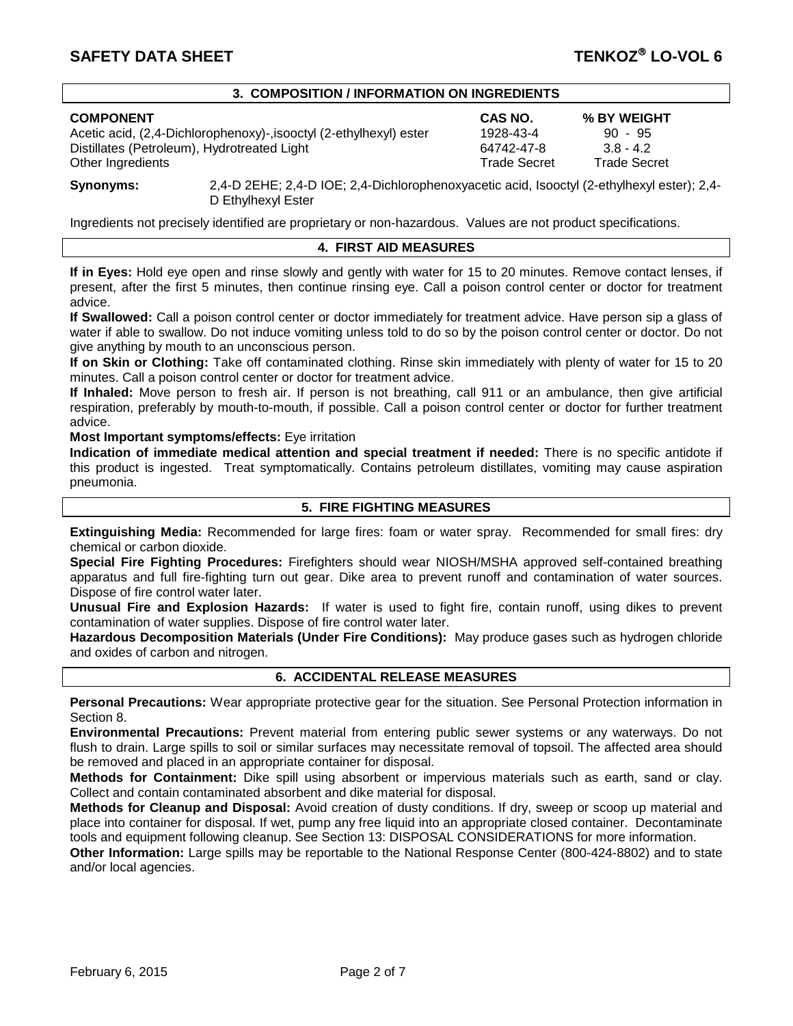# **3. COMPOSITION / INFORMATION ON INGREDIENTS**

Acetic acid, (2,4-Dichlorophenoxy)-,isooctyl (2-ethylhexyl) ester  $1928-43-4$  90 - 95<br>Distillates (Petroleum). Hydrotreated Light 64742-47-8 3.8 - 4.2 Distillates (Petroleum), Hydrotreated Light 64742-47-8 3.8 - 4.2<br>
Other Ingredients Christians Christian Christian Christian Christian Christian Christian Christian Christian Other Ingredients

**COMPONENT CAS NO. % BY WEIGHT**

**Synonyms:** 2,4-D 2EHE; 2,4-D IOE; 2,4-Dichlorophenoxyacetic acid, Isooctyl (2-ethylhexyl ester); 2,4- D Ethylhexyl Ester

Ingredients not precisely identified are proprietary or non-hazardous. Values are not product specifications.

# **4. FIRST AID MEASURES**

**If in Eyes:** Hold eye open and rinse slowly and gently with water for 15 to 20 minutes. Remove contact lenses, if present, after the first 5 minutes, then continue rinsing eye. Call a poison control center or doctor for treatment advice.

**If Swallowed:** Call a poison control center or doctor immediately for treatment advice. Have person sip a glass of water if able to swallow. Do not induce vomiting unless told to do so by the poison control center or doctor. Do not give anything by mouth to an unconscious person.

**If on Skin or Clothing:** Take off contaminated clothing. Rinse skin immediately with plenty of water for 15 to 20 minutes. Call a poison control center or doctor for treatment advice.

**If Inhaled:** Move person to fresh air. If person is not breathing, call 911 or an ambulance, then give artificial respiration, preferably by mouth-to-mouth, if possible. Call a poison control center or doctor for further treatment advice.

### **Most Important symptoms/effects:** Eye irritation

**Indication of immediate medical attention and special treatment if needed:** There is no specific antidote if this product is ingested. Treat symptomatically. Contains petroleum distillates, vomiting may cause aspiration pneumonia.

# **5. FIRE FIGHTING MEASURES**

**Extinguishing Media:** Recommended for large fires: foam or water spray. Recommended for small fires: dry chemical or carbon dioxide.

**Special Fire Fighting Procedures:** Firefighters should wear NIOSH/MSHA approved self-contained breathing apparatus and full fire-fighting turn out gear. Dike area to prevent runoff and contamination of water sources. Dispose of fire control water later.

**Unusual Fire and Explosion Hazards:** If water is used to fight fire, contain runoff, using dikes to prevent contamination of water supplies. Dispose of fire control water later.

**Hazardous Decomposition Materials (Under Fire Conditions):** May produce gases such as hydrogen chloride and oxides of carbon and nitrogen.

# **6. ACCIDENTAL RELEASE MEASURES**

**Personal Precautions:** Wear appropriate protective gear for the situation. See Personal Protection information in Section 8.

**Environmental Precautions:** Prevent material from entering public sewer systems or any waterways. Do not flush to drain. Large spills to soil or similar surfaces may necessitate removal of topsoil. The affected area should be removed and placed in an appropriate container for disposal.

**Methods for Containment:** Dike spill using absorbent or impervious materials such as earth, sand or clay. Collect and contain contaminated absorbent and dike material for disposal.

**Methods for Cleanup and Disposal:** Avoid creation of dusty conditions. If dry, sweep or scoop up material and place into container for disposal. If wet, pump any free liquid into an appropriate closed container. Decontaminate tools and equipment following cleanup. See Section 13: DISPOSAL CONSIDERATIONS for more information.

**Other Information:** Large spills may be reportable to the National Response Center (800-424-8802) and to state and/or local agencies.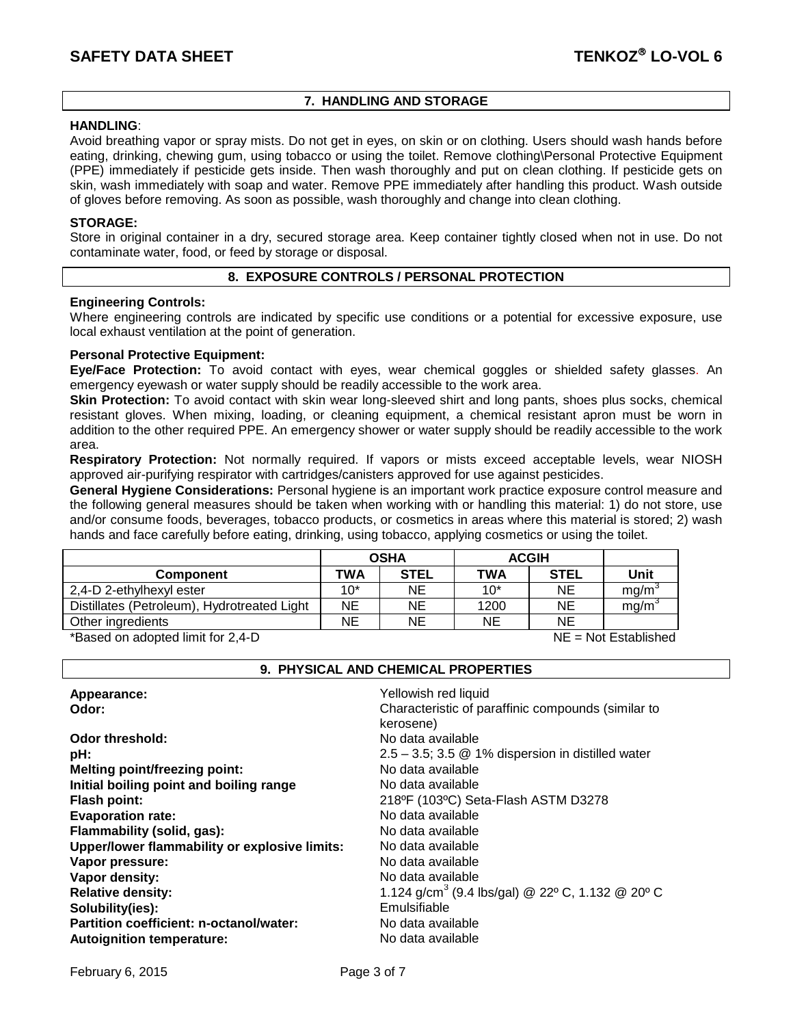# **7. HANDLING AND STORAGE**

# **HANDLING**:

Avoid breathing vapor or spray mists. Do not get in eyes, on skin or on clothing. Users should wash hands before eating, drinking, chewing gum, using tobacco or using the toilet. Remove clothing\Personal Protective Equipment (PPE) immediately if pesticide gets inside. Then wash thoroughly and put on clean clothing. If pesticide gets on skin, wash immediately with soap and water. Remove PPE immediately after handling this product. Wash outside of gloves before removing. As soon as possible, wash thoroughly and change into clean clothing.

### **STORAGE:**

Store in original container in a dry, secured storage area. Keep container tightly closed when not in use. Do not contaminate water, food, or feed by storage or disposal.

### **8. EXPOSURE CONTROLS / PERSONAL PROTECTION**

### **Engineering Controls:**

Where engineering controls are indicated by specific use conditions or a potential for excessive exposure, use local exhaust ventilation at the point of generation.

# **Personal Protective Equipment:**

**Eye/Face Protection:** To avoid contact with eyes, wear chemical goggles or shielded safety glasses. An emergency eyewash or water supply should be readily accessible to the work area.

**Skin Protection:** To avoid contact with skin wear long-sleeved shirt and long pants, shoes plus socks, chemical resistant gloves. When mixing, loading, or cleaning equipment, a chemical resistant apron must be worn in addition to the other required PPE. An emergency shower or water supply should be readily accessible to the work area.

**Respiratory Protection:** Not normally required. If vapors or mists exceed acceptable levels, wear NIOSH approved air-purifying respirator with cartridges/canisters approved for use against pesticides.

**General Hygiene Considerations:** Personal hygiene is an important work practice exposure control measure and the following general measures should be taken when working with or handling this material: 1) do not store, use and/or consume foods, beverages, tobacco products, or cosmetics in areas where this material is stored; 2) wash hands and face carefully before eating, drinking, using tobacco, applying cosmetics or using the toilet.

|                                             | <b>OSHA</b> |             | <b>ACGIH</b> |             |      |
|---------------------------------------------|-------------|-------------|--------------|-------------|------|
| <b>Component</b>                            | <b>TWA</b>  | <b>STEL</b> | TWA          | <b>STEL</b> | Unit |
| 2,4-D 2-ethylhexyl ester                    | $10*$       | NE          | $10*$        | NΕ          | ma/m |
| Distillates (Petroleum), Hydrotreated Light | NE          | ΝE          | 1200         | NΕ          | ma/m |
| Other ingredients                           | NE          | ΝE          | NE           | NΕ          |      |

\*Based on adopted limit for 2,4-D NE = Not Established

# **9. PHYSICAL AND CHEMICAL PROPERTIES**

| Appearance:                                   | Yellowish red liquid                                         |
|-----------------------------------------------|--------------------------------------------------------------|
| Odor:                                         | Characteristic of paraffinic compounds (similar to           |
|                                               | kerosene)                                                    |
| <b>Odor threshold:</b>                        | No data available                                            |
| pH:                                           | $2.5 - 3.5$ ; 3.5 $@$ 1% dispersion in distilled water       |
| <b>Melting point/freezing point:</b>          | No data available                                            |
| Initial boiling point and boiling range       | No data available                                            |
| Flash point:                                  | 218ºF (103ºC) Seta-Flash ASTM D3278                          |
| <b>Evaporation rate:</b>                      | No data available                                            |
| Flammability (solid, gas):                    | No data available                                            |
| Upper/lower flammability or explosive limits: | No data available                                            |
| Vapor pressure:                               | No data available                                            |
| Vapor density:                                | No data available                                            |
| <b>Relative density:</b>                      | 1.124 g/cm <sup>3</sup> (9.4 lbs/gal) @ 22° C, 1.132 @ 20° C |
| Solubility(ies):                              | Emulsifiable                                                 |
| Partition coefficient: n-octanol/water:       | No data available                                            |
| <b>Autoignition temperature:</b>              | No data available                                            |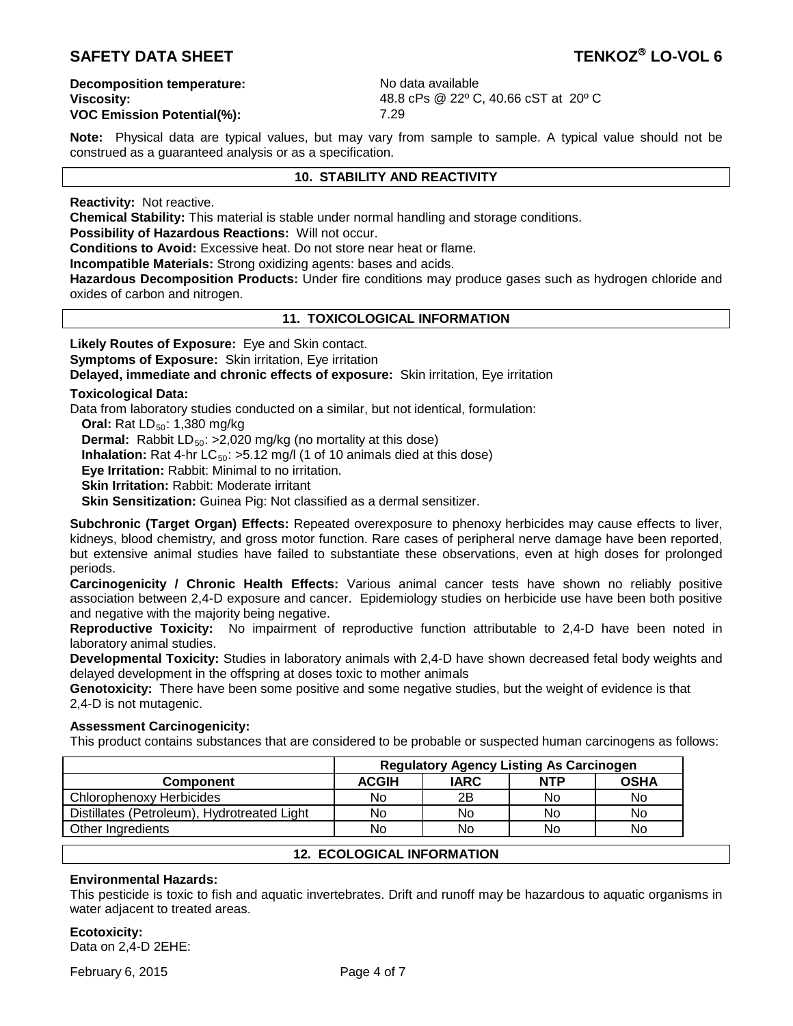# **SAFETY DATA SHEET TENKOZ**<sup>®</sup> LO-VOL 6

**Decomposition temperature:** No data available

**VOC Emission Potential(%):** 

**Viscosity:** 48.8 cPs @ 22° C, 40.66 cST at 20° C<br> **VOC Emission Potential(%):** 48.8 cPs @ 22° C, 40.66 cST at 20° C

**Note:** Physical data are typical values, but may vary from sample to sample. A typical value should not be construed as a guaranteed analysis or as a specification.

# **10. STABILITY AND REACTIVITY**

**Reactivity:** Not reactive.

**Chemical Stability:** This material is stable under normal handling and storage conditions.

**Possibility of Hazardous Reactions:** Will not occur.

**Conditions to Avoid:** Excessive heat. Do not store near heat or flame.

**Incompatible Materials:** Strong oxidizing agents: bases and acids.

**Hazardous Decomposition Products:** Under fire conditions may produce gases such as hydrogen chloride and oxides of carbon and nitrogen.

# **11. TOXICOLOGICAL INFORMATION**

**Likely Routes of Exposure:** Eye and Skin contact. **Symptoms of Exposure: Skin irritation, Eye irritation Delayed, immediate and chronic effects of exposure:** Skin irritation, Eye irritation

### **Toxicological Data:**

Data from laboratory studies conducted on a similar, but not identical, formulation:

**Oral:** Rat LD<sub>50</sub>: 1,380 mg/kg

**Dermal:** Rabbit LD<sub>50</sub>: >2,020 mg/kg (no mortality at this dose)

**Inhalation:** Rat 4-hr  $LC_{50}$ :  $>5.12$  mg/l (1 of 10 animals died at this dose)

**Eye Irritation:** Rabbit: Minimal to no irritation.

**Skin Irritation:** Rabbit: Moderate irritant

**Skin Sensitization:** Guinea Pig: Not classified as a dermal sensitizer.

**Subchronic (Target Organ) Effects:** Repeated overexposure to phenoxy herbicides may cause effects to liver, kidneys, blood chemistry, and gross motor function. Rare cases of peripheral nerve damage have been reported, but extensive animal studies have failed to substantiate these observations, even at high doses for prolonged periods.

**Carcinogenicity / Chronic Health Effects:** Various animal cancer tests have shown no reliably positive association between 2,4-D exposure and cancer. Epidemiology studies on herbicide use have been both positive and negative with the majority being negative.

**Reproductive Toxicity:** No impairment of reproductive function attributable to 2,4-D have been noted in laboratory animal studies.

**Developmental Toxicity:** Studies in laboratory animals with 2,4-D have shown decreased fetal body weights and delayed development in the offspring at doses toxic to mother animals

**Genotoxicity:** There have been some positive and some negative studies, but the weight of evidence is that 2,4-D is not mutagenic.

# **Assessment Carcinogenicity:**

This product contains substances that are considered to be probable or suspected human carcinogens as follows:

|                                             | <b>Regulatory Agency Listing As Carcinogen</b> |             |            |             |
|---------------------------------------------|------------------------------------------------|-------------|------------|-------------|
| <b>Component</b>                            | <b>ACGIH</b>                                   | <b>IARC</b> | <b>NTP</b> | <b>OSHA</b> |
| Chlorophenoxy Herbicides                    | No                                             | 2B          | No         | No.         |
| Distillates (Petroleum), Hydrotreated Light | No                                             | No          | No         | No          |
| Other Ingredients                           | No                                             | No          | No         | No.         |

# **12. ECOLOGICAL INFORMATION**

# **Environmental Hazards:**

This pesticide is toxic to fish and aquatic invertebrates. Drift and runoff may be hazardous to aquatic organisms in water adjacent to treated areas.

**Ecotoxicity:** Data on 2,4-D 2EHE:

February 6, 2015 **Page 4 of 7**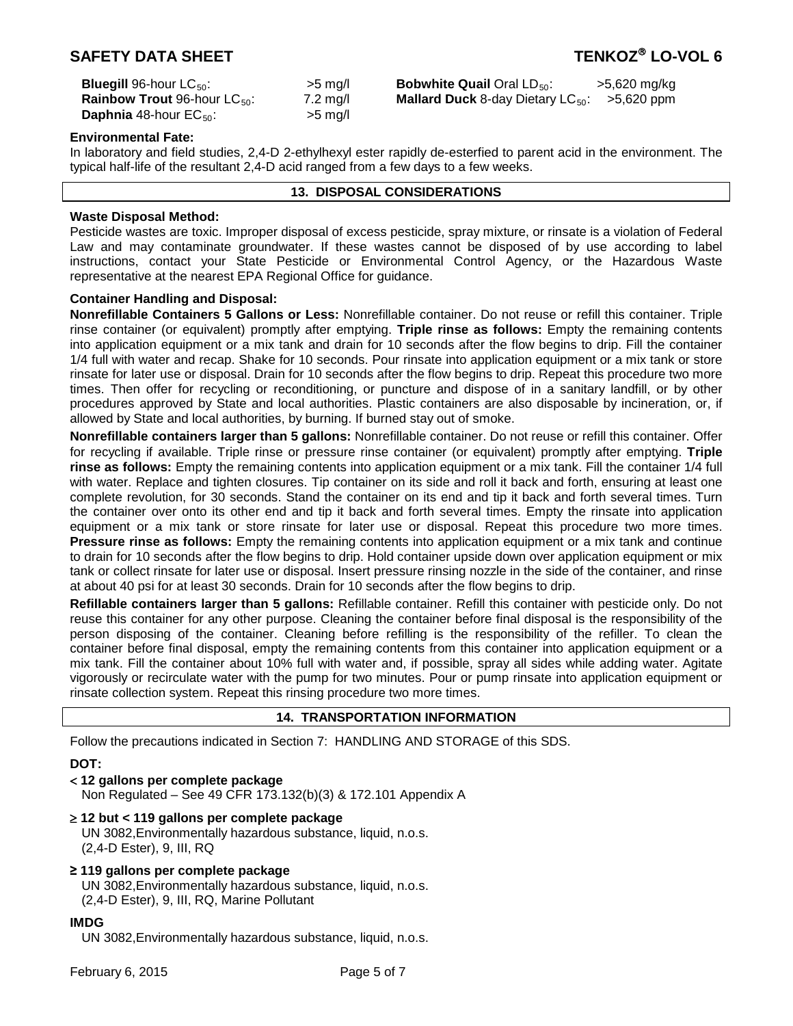# **SAFETY DATA SHEET TENKOZ LO-VOL 6**

| <b>Bluegill 96-hour LC<sub>50</sub>:</b>        | $>5$ mg/           |
|-------------------------------------------------|--------------------|
| <b>Rainbow Trout 96-hour LC</b> <sub>50</sub> : | $7.2 \text{ mg/l}$ |
| <b>Daphnia</b> 48-hour $EC_{50}$ :              | $>5$ mg/           |

**Bobwhite Quail** Oral LD<sub>50</sub>: >5,620 mg/kg **Railard Duck** 8-day Dietary LC<sub>50</sub>: >5,620 ppm

### **Environmental Fate:**

In laboratory and field studies, 2,4-D 2-ethylhexyl ester rapidly de-esterfied to parent acid in the environment. The typical half-life of the resultant 2,4-D acid ranged from a few days to a few weeks.

### **13. DISPOSAL CONSIDERATIONS**

### **Waste Disposal Method:**

Pesticide wastes are toxic. Improper disposal of excess pesticide, spray mixture, or rinsate is a violation of Federal Law and may contaminate groundwater. If these wastes cannot be disposed of by use according to label instructions, contact your State Pesticide or Environmental Control Agency, or the Hazardous Waste representative at the nearest EPA Regional Office for guidance.

# **Container Handling and Disposal:**

**Nonrefillable Containers 5 Gallons or Less:** Nonrefillable container. Do not reuse or refill this container. Triple rinse container (or equivalent) promptly after emptying. **Triple rinse as follows:** Empty the remaining contents into application equipment or a mix tank and drain for 10 seconds after the flow begins to drip. Fill the container 1/4 full with water and recap. Shake for 10 seconds. Pour rinsate into application equipment or a mix tank or store rinsate for later use or disposal. Drain for 10 seconds after the flow begins to drip. Repeat this procedure two more times. Then offer for recycling or reconditioning, or puncture and dispose of in a sanitary landfill, or by other procedures approved by State and local authorities. Plastic containers are also disposable by incineration, or, if allowed by State and local authorities, by burning. If burned stay out of smoke.

**Nonrefillable containers larger than 5 gallons:** Nonrefillable container. Do not reuse or refill this container. Offer for recycling if available. Triple rinse or pressure rinse container (or equivalent) promptly after emptying. **Triple rinse as follows:** Empty the remaining contents into application equipment or a mix tank. Fill the container 1/4 full with water. Replace and tighten closures. Tip container on its side and roll it back and forth, ensuring at least one complete revolution, for 30 seconds. Stand the container on its end and tip it back and forth several times. Turn the container over onto its other end and tip it back and forth several times. Empty the rinsate into application equipment or a mix tank or store rinsate for later use or disposal. Repeat this procedure two more times. **Pressure rinse as follows:** Empty the remaining contents into application equipment or a mix tank and continue to drain for 10 seconds after the flow begins to drip. Hold container upside down over application equipment or mix tank or collect rinsate for later use or disposal. Insert pressure rinsing nozzle in the side of the container, and rinse at about 40 psi for at least 30 seconds. Drain for 10 seconds after the flow begins to drip.

**Refillable containers larger than 5 gallons:** Refillable container. Refill this container with pesticide only. Do not reuse this container for any other purpose. Cleaning the container before final disposal is the responsibility of the person disposing of the container. Cleaning before refilling is the responsibility of the refiller. To clean the container before final disposal, empty the remaining contents from this container into application equipment or a mix tank. Fill the container about 10% full with water and, if possible, spray all sides while adding water. Agitate vigorously or recirculate water with the pump for two minutes. Pour or pump rinsate into application equipment or rinsate collection system. Repeat this rinsing procedure two more times.

#### **14. TRANSPORTATION INFORMATION**

Follow the precautions indicated in Section 7: HANDLING AND STORAGE of this SDS.

**DOT:**

< **12 gallons per complete package** 

Non Regulated – See 49 CFR 173.132(b)(3) & 172.101 Appendix A

- ≥ **12 but < 119 gallons per complete package**  UN 3082,Environmentally hazardous substance, liquid, n.o.s. (2,4-D Ester), 9, III, RQ
- **≥ 119 gallons per complete package**  UN 3082,Environmentally hazardous substance, liquid, n.o.s. (2,4-D Ester), 9, III, RQ, Marine Pollutant

#### **IMDG**

UN 3082,Environmentally hazardous substance, liquid, n.o.s.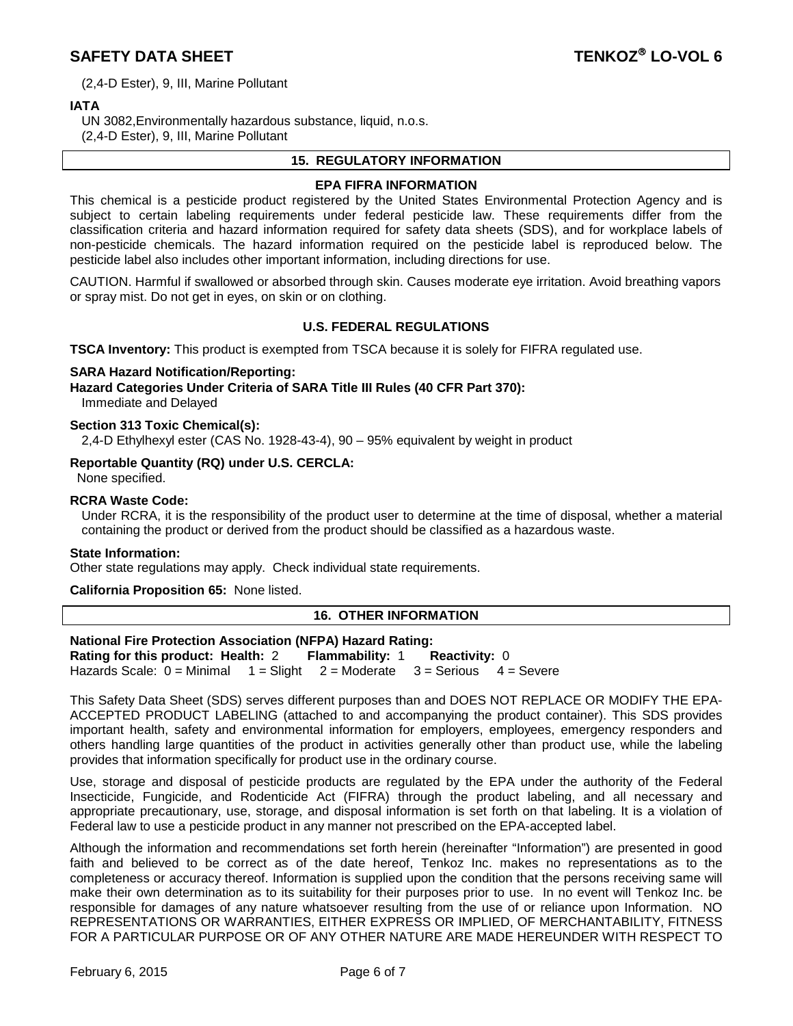# **SAFETY DATA SHEET TENKOZ**<sup>®</sup> LO-VOL 6

(2,4-D Ester), 9, III, Marine Pollutant

# **IATA**

UN 3082,Environmentally hazardous substance, liquid, n.o.s.

(2,4-D Ester), 9, III, Marine Pollutant

### **15. REGULATORY INFORMATION**

### **EPA FIFRA INFORMATION**

This chemical is a pesticide product registered by the United States Environmental Protection Agency and is subject to certain labeling requirements under federal pesticide law. These requirements differ from the classification criteria and hazard information required for safety data sheets (SDS), and for workplace labels of non-pesticide chemicals. The hazard information required on the pesticide label is reproduced below. The pesticide label also includes other important information, including directions for use.

CAUTION. Harmful if swallowed or absorbed through skin. Causes moderate eye irritation. Avoid breathing vapors or spray mist. Do not get in eyes, on skin or on clothing.

# **U.S. FEDERAL REGULATIONS**

**TSCA Inventory:** This product is exempted from TSCA because it is solely for FIFRA regulated use.

#### **SARA Hazard Notification/Reporting:**

**Hazard Categories Under Criteria of SARA Title III Rules (40 CFR Part 370):**

Immediate and Delayed

### **Section 313 Toxic Chemical(s):**

2,4-D Ethylhexyl ester (CAS No. 1928-43-4), 90 – 95% equivalent by weight in product

### **Reportable Quantity (RQ) under U.S. CERCLA:**

None specified.

# **RCRA Waste Code:**

Under RCRA, it is the responsibility of the product user to determine at the time of disposal, whether a material containing the product or derived from the product should be classified as a hazardous waste.

#### **State Information:**

Other state regulations may apply. Check individual state requirements.

# **California Proposition 65:** None listed.

# **16. OTHER INFORMATION**

**National Fire Protection Association (NFPA) Hazard Rating: Rating for this product: Health:** 2 **Flammability:** 1 **Reactivity:** 0 Hazards Scale:  $0 =$  Minimal  $1 =$  Slight  $2 =$  Moderate  $3 =$  Serious  $4 =$  Severe

This Safety Data Sheet (SDS) serves different purposes than and DOES NOT REPLACE OR MODIFY THE EPA-ACCEPTED PRODUCT LABELING (attached to and accompanying the product container). This SDS provides important health, safety and environmental information for employers, employees, emergency responders and others handling large quantities of the product in activities generally other than product use, while the labeling provides that information specifically for product use in the ordinary course.

Use, storage and disposal of pesticide products are regulated by the EPA under the authority of the Federal Insecticide, Fungicide, and Rodenticide Act (FIFRA) through the product labeling, and all necessary and appropriate precautionary, use, storage, and disposal information is set forth on that labeling. It is a violation of Federal law to use a pesticide product in any manner not prescribed on the EPA-accepted label.

Although the information and recommendations set forth herein (hereinafter "Information") are presented in good faith and believed to be correct as of the date hereof, Tenkoz Inc. makes no representations as to the completeness or accuracy thereof. Information is supplied upon the condition that the persons receiving same will make their own determination as to its suitability for their purposes prior to use. In no event will Tenkoz Inc. be responsible for damages of any nature whatsoever resulting from the use of or reliance upon Information. NO REPRESENTATIONS OR WARRANTIES, EITHER EXPRESS OR IMPLIED, OF MERCHANTABILITY, FITNESS FOR A PARTICULAR PURPOSE OR OF ANY OTHER NATURE ARE MADE HEREUNDER WITH RESPECT TO